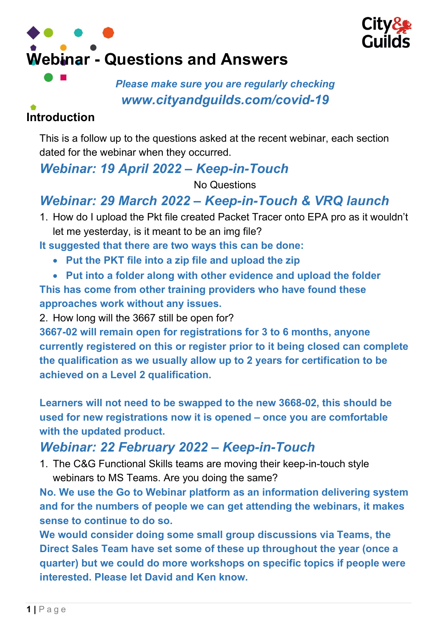



#### Please make sure you are regularly checking www.cityandguilds.com/covid-19

# Introduction

This is a follow up to the questions asked at the recent webinar, each section dated for the webinar when they occurred.

## Webinar: 19 April 2022 – Keep-in-Touch

No Questions

# Webinar: 29 March 2022 – Keep-in-Touch & VRQ launch

1. How do I upload the Pkt file created Packet Tracer onto EPA pro as it wouldn't let me yesterday, is it meant to be an img file?

It suggested that there are two ways this can be done:

- Put the PKT file into a zip file and upload the zip
- Put into a folder along with other evidence and upload the folder This has come from other training providers who have found these approaches work without any issues.

2. How long will the 3667 still be open for?

3667-02 will remain open for registrations for 3 to 6 months, anyone currently registered on this or register prior to it being closed can complete the qualification as we usually allow up to 2 years for certification to be achieved on a Level 2 qualification.

Learners will not need to be swapped to the new 3668-02, this should be used for new registrations now it is opened – once you are comfortable with the updated product.

# Webinar: 22 February 2022 – Keep-in-Touch

1. The C&G Functional Skills teams are moving their keep-in-touch style webinars to MS Teams. Are you doing the same?

No. We use the Go to Webinar platform as an information delivering system and for the numbers of people we can get attending the webinars, it makes sense to continue to do so.

We would consider doing some small group discussions via Teams, the Direct Sales Team have set some of these up throughout the year (once a quarter) but we could do more workshops on specific topics if people were interested. Please let David and Ken know.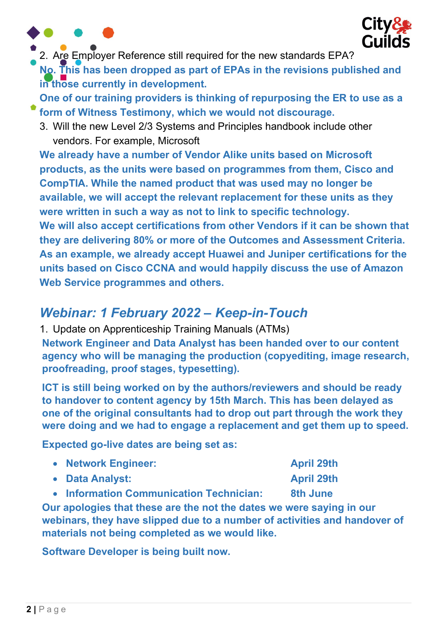



2. Are Employer Reference still required for the new standards EPA?

No. This has been dropped as part of EPAs in the revisions published and in those currently in development.

One of our training providers is thinking of repurposing the ER to use as a form of Witness Testimony, which we would not discourage.

3. Will the new Level 2/3 Systems and Principles handbook include other vendors. For example, Microsoft

We already have a number of Vendor Alike units based on Microsoft products, as the units were based on programmes from them, Cisco and CompTIA. While the named product that was used may no longer be available, we will accept the relevant replacement for these units as they were written in such a way as not to link to specific technology. We will also accept certifications from other Vendors if it can be shown that they are delivering 80% or more of the Outcomes and Assessment Criteria. As an example, we already accept Huawei and Juniper certifications for the units based on Cisco CCNA and would happily discuss the use of Amazon Web Service programmes and others.

## Webinar: 1 February 2022 – Keep-in-Touch

1. Update on Apprenticeship Training Manuals (ATMs) Network Engineer and Data Analyst has been handed over to our content agency who will be managing the production (copyediting, image research, proofreading, proof stages, typesetting).

ICT is still being worked on by the authors/reviewers and should be ready to handover to content agency by 15th March. This has been delayed as one of the original consultants had to drop out part through the work they were doing and we had to engage a replacement and get them up to speed.

Expected go-live dates are being set as:

| • Network Engineer: | <b>April 29th</b> |
|---------------------|-------------------|
| • Data Analyst:     | <b>April 29th</b> |

• Information Communication Technician: 8th June

Our apologies that these are the not the dates we were saying in our webinars, they have slipped due to a number of activities and handover of materials not being completed as we would like.

Software Developer is being built now.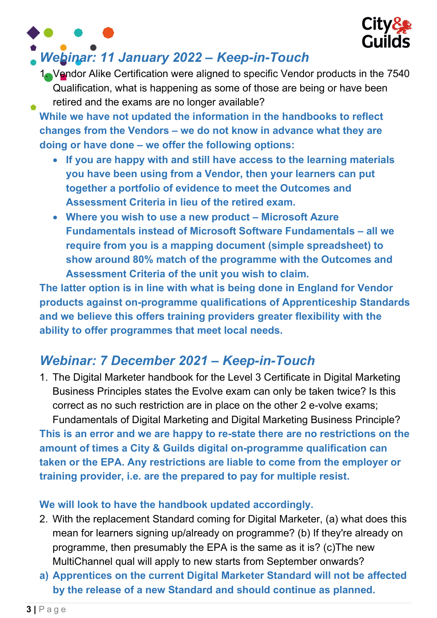

### Webinar: 11 January 2022 – Keep-in-Touch

1. Vendor Alike Certification were aligned to specific Vendor products in the 7540 Qualification, what is happening as some of those are being or have been retired and the exams are no longer available?

While we have not updated the information in the handbooks to reflect changes from the Vendors – we do not know in advance what they are doing or have done – we offer the following options:

- If you are happy with and still have access to the learning materials you have been using from a Vendor, then your learners can put together a portfolio of evidence to meet the Outcomes and Assessment Criteria in lieu of the retired exam.
- Where you wish to use a new product Microsoft Azure Fundamentals instead of Microsoft Software Fundamentals – all we require from you is a mapping document (simple spreadsheet) to show around 80% match of the programme with the Outcomes and Assessment Criteria of the unit you wish to claim.

The latter option is in line with what is being done in England for Vendor products against on-programme qualifications of Apprenticeship Standards and we believe this offers training providers greater flexibility with the ability to offer programmes that meet local needs.

# Webinar: 7 December 2021 – Keep-in-Touch

1. The Digital Marketer handbook for the Level 3 Certificate in Digital Marketing Business Principles states the Evolve exam can only be taken twice? Is this correct as no such restriction are in place on the other 2 e-volve exams; Fundamentals of Digital Marketing and Digital Marketing Business Principle? This is an error and we are happy to re-state there are no restrictions on the amount of times a City & Guilds digital on-programme qualification can taken or the EPA. Any restrictions are liable to come from the employer or

training provider, i.e. are the prepared to pay for multiple resist.

#### We will look to have the handbook updated accordingly.

- 2. With the replacement Standard coming for Digital Marketer, (a) what does this mean for learners signing up/already on programme? (b) If they're already on programme, then presumably the EPA is the same as it is? (c)The new MultiChannel qual will apply to new starts from September onwards?
- a) Apprentices on the current Digital Marketer Standard will not be affected by the release of a new Standard and should continue as planned.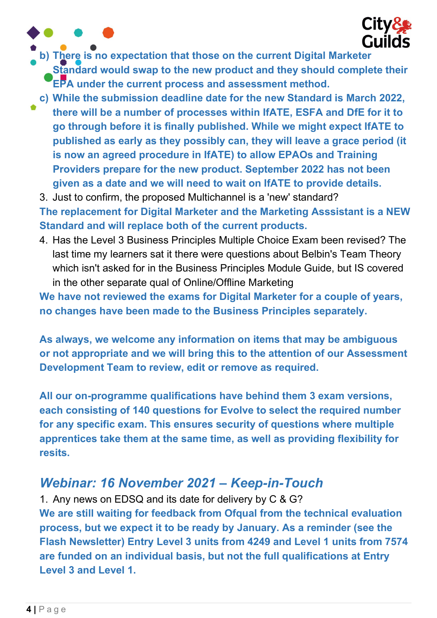

b) There is no expectation that those on the current Digital Marketer

Standard would swap to the new product and they should complete their **EPA under the current process and assessment method.** 

c) While the submission deadline date for the new Standard is March 2022, there will be a number of processes within IfATE, ESFA and DfE for it to go through before it is finally published. While we might expect IfATE to published as early as they possibly can, they will leave a grace period (it is now an agreed procedure in IfATE) to allow EPAOs and Training Providers prepare for the new product. September 2022 has not been given as a date and we will need to wait on IfATE to provide details.

3. Just to confirm, the proposed Multichannel is a 'new' standard? The replacement for Digital Marketer and the Marketing Asssistant is a NEW Standard and will replace both of the current products.

4. Has the Level 3 Business Principles Multiple Choice Exam been revised? The last time my learners sat it there were questions about Belbin's Team Theory which isn't asked for in the Business Principles Module Guide, but IS covered in the other separate qual of Online/Offline Marketing

We have not reviewed the exams for Digital Marketer for a couple of years, no changes have been made to the Business Principles separately.

As always, we welcome any information on items that may be ambiguous or not appropriate and we will bring this to the attention of our Assessment Development Team to review, edit or remove as required.

All our on-programme qualifications have behind them 3 exam versions, each consisting of 140 questions for Evolve to select the required number for any specific exam. This ensures security of questions where multiple apprentices take them at the same time, as well as providing flexibility for resits.

### Webinar: 16 November 2021 – Keep-in-Touch

1. Any news on EDSQ and its date for delivery by C & G? We are still waiting for feedback from Ofqual from the technical evaluation process, but we expect it to be ready by January. As a reminder (see the Flash Newsletter) Entry Level 3 units from 4249 and Level 1 units from 7574 are funded on an individual basis, but not the full qualifications at Entry Level 3 and Level 1.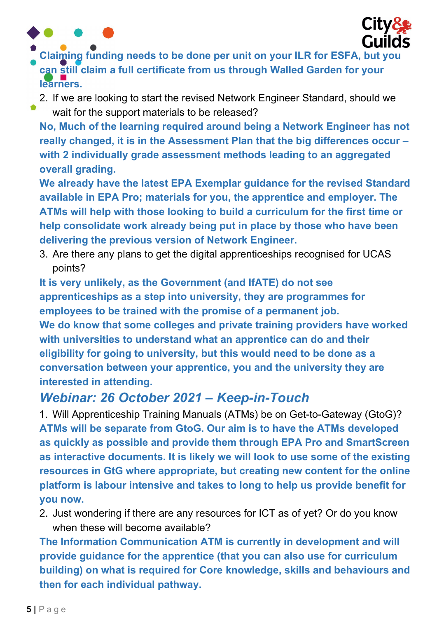

- Claiming funding needs to be done per unit on your ILR for ESFA, but you can still claim a full certificate from us through Walled Garden for your learners.
	- 2. If we are looking to start the revised Network Engineer Standard, should we

wait for the support materials to be released? No, Much of the learning required around being a Network Engineer has not really changed, it is in the Assessment Plan that the big differences occur – with 2 individually grade assessment methods leading to an aggregated overall grading.

We already have the latest EPA Exemplar guidance for the revised Standard available in EPA Pro; materials for you, the apprentice and employer. The ATMs will help with those looking to build a curriculum for the first time or help consolidate work already being put in place by those who have been delivering the previous version of Network Engineer.

3. Are there any plans to get the digital apprenticeships recognised for UCAS points?

It is very unlikely, as the Government (and IfATE) do not see apprenticeships as a step into university, they are programmes for employees to be trained with the promise of a permanent job. We do know that some colleges and private training providers have worked with universities to understand what an apprentice can do and their eligibility for going to university, but this would need to be done as a conversation between your apprentice, you and the university they are interested in attending.

#### Webinar: 26 October 2021 – Keep-in-Touch

1. Will Apprenticeship Training Manuals (ATMs) be on Get-to-Gateway (GtoG)? ATMs will be separate from GtoG. Our aim is to have the ATMs developed as quickly as possible and provide them through EPA Pro and SmartScreen as interactive documents. It is likely we will look to use some of the existing resources in GtG where appropriate, but creating new content for the online platform is labour intensive and takes to long to help us provide benefit for you now.

2. Just wondering if there are any resources for ICT as of yet? Or do you know when these will become available?

The Information Communication ATM is currently in development and will provide guidance for the apprentice (that you can also use for curriculum building) on what is required for Core knowledge, skills and behaviours and then for each individual pathway.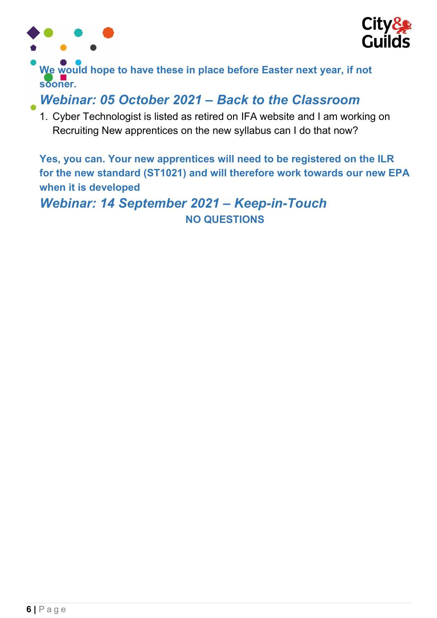



We would hope to have these in place before Easter next year, if not sooner.

#### Webinar: 05 October 2021 – Back to the Classroom

1. Cyber Technologist is listed as retired on IFA website and I am working on Recruiting New apprentices on the new syllabus can I do that now?

Yes, you can. Your new apprentices will need to be registered on the ILR for the new standard (ST1021) and will therefore work towards our new EPA when it is developed

Webinar: 14 September 2021 – Keep-in-Touch NO QUESTIONS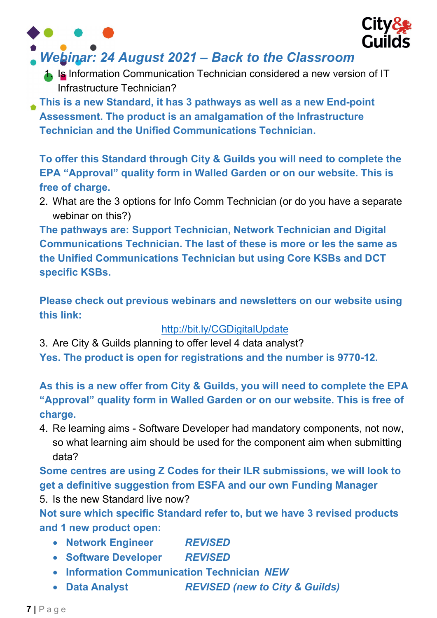

# Webinar: 24 August 2021 – Back to the Classroom

- 1. Is Information Communication Technician considered a new version of IT Infrastructure Technician?
- This is a new Standard, it has 3 pathways as well as a new End-point Assessment. The product is an amalgamation of the Infrastructure Technician and the Unified Communications Technician.

To offer this Standard through City & Guilds you will need to complete the EPA "Approval" quality form in Walled Garden or on our website. This is free of charge.

2. What are the 3 options for Info Comm Technician (or do you have a separate webinar on this?)

The pathways are: Support Technician, Network Technician and Digital Communications Technician. The last of these is more or les the same as the Unified Communications Technician but using Core KSBs and DCT specific KSBs.

Please check out previous webinars and newsletters on our website using this link:

#### http://bit.ly/CGDigitalUpdate

3. Are City & Guilds planning to offer level 4 data analyst? Yes. The product is open for registrations and the number is 9770-12.

As this is a new offer from City & Guilds, you will need to complete the EPA "Approval" quality form in Walled Garden or on our website. This is free of charge.

4. Re learning aims - Software Developer had mandatory components, not now, so what learning aim should be used for the component aim when submitting data?

Some centres are using Z Codes for their ILR submissions, we will look to get a definitive suggestion from ESFA and our own Funding Manager

5. Is the new Standard live now?

Not sure which specific Standard refer to, but we have 3 revised products and 1 new product open:

- Network Engineer REVISED
- Software Developer REVISED
- **Information Communication Technician NEW**
- Data Analyst REVISED (new to City & Guilds)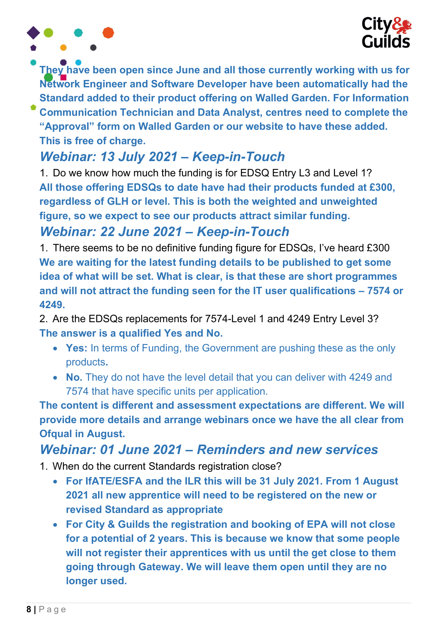

They have been open since June and all those currently working with us for Network Engineer and Software Developer have been automatically had the Standard added to their product offering on Walled Garden. For Information Communication Technician and Data Analyst, centres need to complete the

"Approval" form on Walled Garden or our website to have these added. This is free of charge.

# Webinar: 13 July 2021 – Keep-in-Touch

1. Do we know how much the funding is for EDSQ Entry L3 and Level 1? All those offering EDSQs to date have had their products funded at £300, regardless of GLH or level. This is both the weighted and unweighted figure, so we expect to see our products attract similar funding.

### Webinar: 22 June 2021 – Keep-in-Touch

1. There seems to be no definitive funding figure for EDSQs, I've heard £300 We are waiting for the latest funding details to be published to get some idea of what will be set. What is clear, is that these are short programmes and will not attract the funding seen for the IT user qualifications – 7574 or 4249.

2. Are the EDSQs replacements for 7574-Level 1 and 4249 Entry Level 3? The answer is a qualified Yes and No.

- Yes: In terms of Funding, the Government are pushing these as the only products.
- No. They do not have the level detail that you can deliver with 4249 and 7574 that have specific units per application.

The content is different and assessment expectations are different. We will provide more details and arrange webinars once we have the all clear from Ofqual in August.

### Webinar: 01 June 2021 – Reminders and new services

- 1. When do the current Standards registration close?
	- For IfATE/ESFA and the ILR this will be 31 July 2021. From 1 August 2021 all new apprentice will need to be registered on the new or revised Standard as appropriate
	- For City & Guilds the registration and booking of EPA will not close for a potential of 2 years. This is because we know that some people will not register their apprentices with us until the get close to them going through Gateway. We will leave them open until they are no longer used.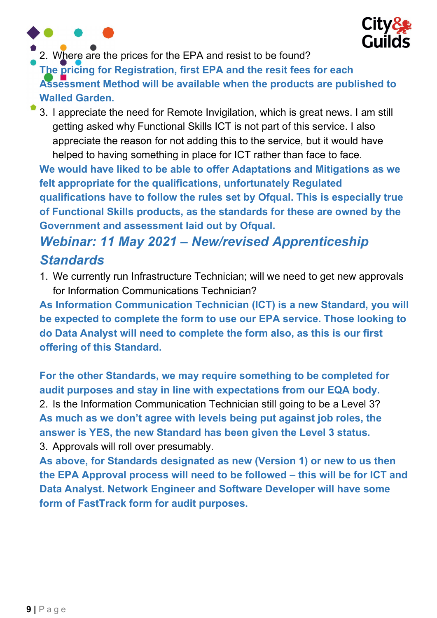



2. Where are the prices for the EPA and resist to be found?

The pricing for Registration, first EPA and the resit fees for each

Assessment Method will be available when the products are published to Walled Garden.

3. I appreciate the need for Remote Invigilation, which is great news. I am still getting asked why Functional Skills ICT is not part of this service. I also appreciate the reason for not adding this to the service, but it would have helped to having something in place for ICT rather than face to face.

We would have liked to be able to offer Adaptations and Mitigations as we felt appropriate for the qualifications, unfortunately Regulated qualifications have to follow the rules set by Ofqual. This is especially true of Functional Skills products, as the standards for these are owned by the Government and assessment laid out by Ofqual.

# Webinar: 11 May 2021 – New/revised Apprenticeship **Standards**

1. We currently run Infrastructure Technician; will we need to get new approvals for Information Communications Technician?

As Information Communication Technician (ICT) is a new Standard, you will be expected to complete the form to use our EPA service. Those looking to do Data Analyst will need to complete the form also, as this is our first offering of this Standard.

For the other Standards, we may require something to be completed for audit purposes and stay in line with expectations from our EQA body. 2. Is the Information Communication Technician still going to be a Level 3? As much as we don't agree with levels being put against job roles, the answer is YES, the new Standard has been given the Level 3 status. 3. Approvals will roll over presumably.

As above, for Standards designated as new (Version 1) or new to us then the EPA Approval process will need to be followed – this will be for ICT and Data Analyst. Network Engineer and Software Developer will have some form of FastTrack form for audit purposes.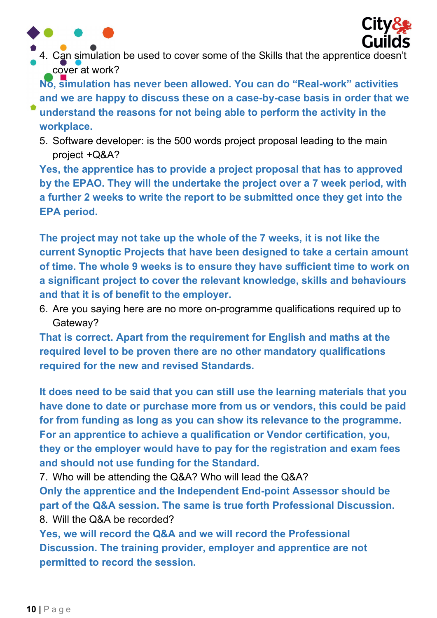



4. Can simulation be used to cover some of the Skills that the apprentice doesn't cover at work?

No, simulation has never been allowed. You can do "Real-work" activities and we are happy to discuss these on a case-by-case basis in order that we

- understand the reasons for not being able to perform the activity in the workplace.
	- 5. Software developer: is the 500 words project proposal leading to the main project +Q&A?

Yes, the apprentice has to provide a project proposal that has to approved by the EPAO. They will the undertake the project over a 7 week period, with a further 2 weeks to write the report to be submitted once they get into the EPA period.

The project may not take up the whole of the 7 weeks, it is not like the current Synoptic Projects that have been designed to take a certain amount of time. The whole 9 weeks is to ensure they have sufficient time to work on a significant project to cover the relevant knowledge, skills and behaviours and that it is of benefit to the employer.

6. Are you saying here are no more on-programme qualifications required up to Gateway?

That is correct. Apart from the requirement for English and maths at the required level to be proven there are no other mandatory qualifications required for the new and revised Standards.

It does need to be said that you can still use the learning materials that you have done to date or purchase more from us or vendors, this could be paid for from funding as long as you can show its relevance to the programme. For an apprentice to achieve a qualification or Vendor certification, you, they or the employer would have to pay for the registration and exam fees and should not use funding for the Standard.

7. Who will be attending the Q&A? Who will lead the Q&A?

Only the apprentice and the Independent End-point Assessor should be part of the Q&A session. The same is true forth Professional Discussion. 8. Will the Q&A be recorded?

Yes, we will record the Q&A and we will record the Professional Discussion. The training provider, employer and apprentice are not permitted to record the session.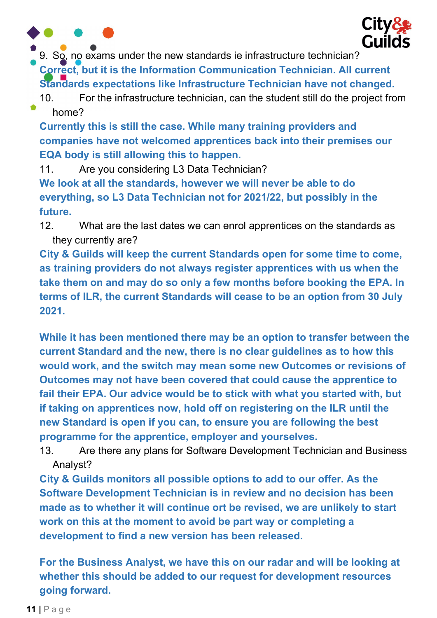

9. So, no exams under the new standards ie infrastructure technician?

Correct, but it is the Information Communication Technician. All current Standards expectations like Infrastructure Technician have not changed.

10. For the infrastructure technician, can the student still do the project from home?

Currently this is still the case. While many training providers and companies have not welcomed apprentices back into their premises our EQA body is still allowing this to happen.

11. Are you considering L3 Data Technician? We look at all the standards, however we will never be able to do

everything, so L3 Data Technician not for 2021/22, but possibly in the future.

12. What are the last dates we can enrol apprentices on the standards as they currently are?

City & Guilds will keep the current Standards open for some time to come, as training providers do not always register apprentices with us when the take them on and may do so only a few months before booking the EPA. In terms of ILR, the current Standards will cease to be an option from 30 July 2021.

While it has been mentioned there may be an option to transfer between the current Standard and the new, there is no clear guidelines as to how this would work, and the switch may mean some new Outcomes or revisions of Outcomes may not have been covered that could cause the apprentice to fail their EPA. Our advice would be to stick with what you started with, but if taking on apprentices now, hold off on registering on the ILR until the new Standard is open if you can, to ensure you are following the best programme for the apprentice, employer and yourselves.

13. Are there any plans for Software Development Technician and Business Analyst?

City & Guilds monitors all possible options to add to our offer. As the Software Development Technician is in review and no decision has been made as to whether it will continue ort be revised, we are unlikely to start work on this at the moment to avoid be part way or completing a development to find a new version has been released.

For the Business Analyst, we have this on our radar and will be looking at whether this should be added to our request for development resources going forward.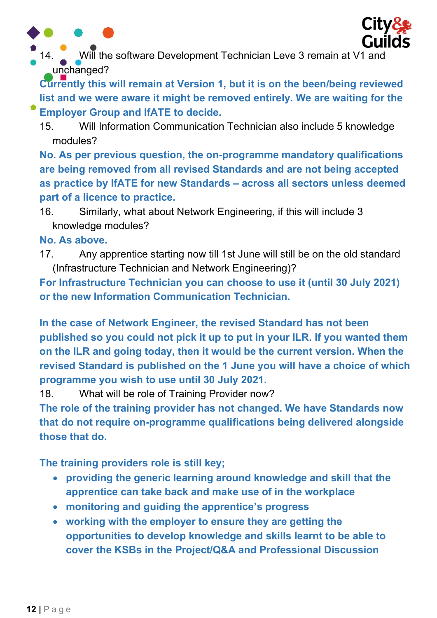



Will the software Development Technician Leve 3 remain at V1 and unchanged?

Currently this will remain at Version 1, but it is on the been/being reviewed list and we were aware it might be removed entirely. We are waiting for the Employer Group and IfATE to decide.

15. Will Information Communication Technician also include 5 knowledge modules?

No. As per previous question, the on-programme mandatory qualifications are being removed from all revised Standards and are not being accepted as practice by IfATE for new Standards – across all sectors unless deemed part of a licence to practice.

16. Similarly, what about Network Engineering, if this will include 3 knowledge modules?

No. As above.

17. Any apprentice starting now till 1st June will still be on the old standard (Infrastructure Technician and Network Engineering)?

For Infrastructure Technician you can choose to use it (until 30 July 2021) or the new Information Communication Technician.

In the case of Network Engineer, the revised Standard has not been published so you could not pick it up to put in your ILR. If you wanted them on the ILR and going today, then it would be the current version. When the revised Standard is published on the 1 June you will have a choice of which programme you wish to use until 30 July 2021.

18. What will be role of Training Provider now?

The role of the training provider has not changed. We have Standards now that do not require on-programme qualifications being delivered alongside those that do.

The training providers role is still key;

- providing the generic learning around knowledge and skill that the apprentice can take back and make use of in the workplace
- monitoring and guiding the apprentice's progress
- working with the employer to ensure they are getting the opportunities to develop knowledge and skills learnt to be able to cover the KSBs in the Project/Q&A and Professional Discussion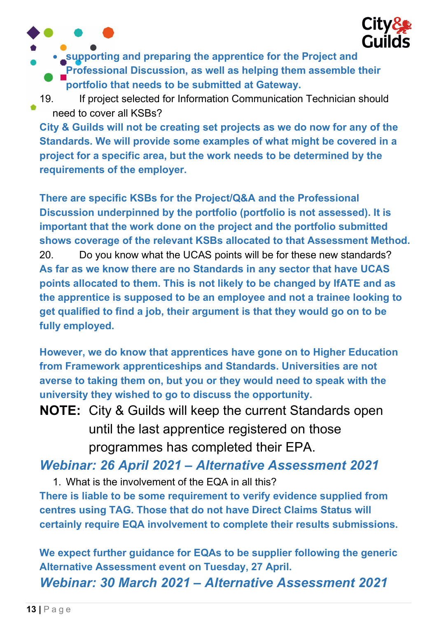

• supporting and preparing the apprentice for the Project and Professional Discussion, as well as helping them assemble their portfolio that needs to be submitted at Gateway.

19. If project selected for Information Communication Technician should need to cover all KSBs?

City & Guilds will not be creating set projects as we do now for any of the Standards. We will provide some examples of what might be covered in a project for a specific area, but the work needs to be determined by the requirements of the employer.

There are specific KSBs for the Project/Q&A and the Professional Discussion underpinned by the portfolio (portfolio is not assessed). It is important that the work done on the project and the portfolio submitted shows coverage of the relevant KSBs allocated to that Assessment Method. 20. Do you know what the UCAS points will be for these new standards? As far as we know there are no Standards in any sector that have UCAS points allocated to them. This is not likely to be changed by IfATE and as the apprentice is supposed to be an employee and not a trainee looking to get qualified to find a job, their argument is that they would go on to be fully employed.

However, we do know that apprentices have gone on to Higher Education from Framework apprenticeships and Standards. Universities are not averse to taking them on, but you or they would need to speak with the university they wished to go to discuss the opportunity.

NOTE: City & Guilds will keep the current Standards open until the last apprentice registered on those programmes has completed their EPA.

Webinar: 26 April 2021 – Alternative Assessment 2021

1. What is the involvement of the EQA in all this? There is liable to be some requirement to verify evidence supplied from centres using TAG. Those that do not have Direct Claims Status will certainly require EQA involvement to complete their results submissions.

We expect further guidance for EQAs to be supplier following the generic Alternative Assessment event on Tuesday, 27 April. Webinar: 30 March 2021 – Alternative Assessment 2021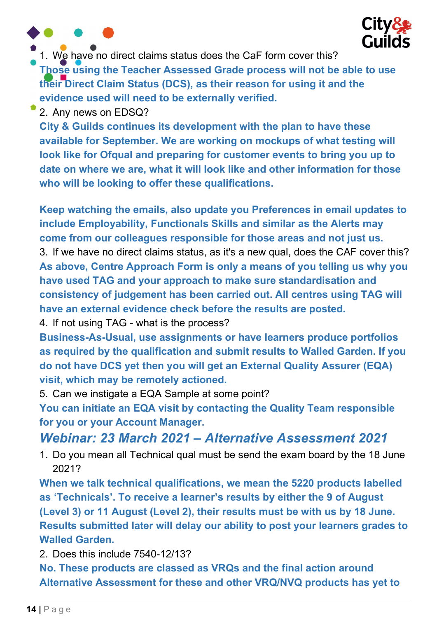



1. We have no direct claims status does the CaF form cover this?

Those using the Teacher Assessed Grade process will not be able to use their Direct Claim Status (DCS), as their reason for using it and the evidence used will need to be externally verified.

2. Any news on EDSQ?

City & Guilds continues its development with the plan to have these available for September. We are working on mockups of what testing will look like for Ofqual and preparing for customer events to bring you up to date on where we are, what it will look like and other information for those who will be looking to offer these qualifications.

Keep watching the emails, also update you Preferences in email updates to include Employability, Functionals Skills and similar as the Alerts may come from our colleagues responsible for those areas and not just us. 3. If we have no direct claims status, as it's a new qual, does the CAF cover this? As above, Centre Approach Form is only a means of you telling us why you have used TAG and your approach to make sure standardisation and consistency of judgement has been carried out. All centres using TAG will have an external evidence check before the results are posted.

4. If not using TAG - what is the process?

Business-As-Usual, use assignments or have learners produce portfolios as required by the qualification and submit results to Walled Garden. If you do not have DCS yet then you will get an External Quality Assurer (EQA) visit, which may be remotely actioned.

5. Can we instigate a EQA Sample at some point?

You can initiate an EQA visit by contacting the Quality Team responsible for you or your Account Manager.

#### Webinar: 23 March 2021 – Alternative Assessment 2021

1. Do you mean all Technical qual must be send the exam board by the 18 June 2021?

When we talk technical qualifications, we mean the 5220 products labelled as 'Technicals'. To receive a learner's results by either the 9 of August (Level 3) or 11 August (Level 2), their results must be with us by 18 June. Results submitted later will delay our ability to post your learners grades to Walled Garden.

2. Does this include 7540-12/13?

No. These products are classed as VRQs and the final action around Alternative Assessment for these and other VRQ/NVQ products has yet to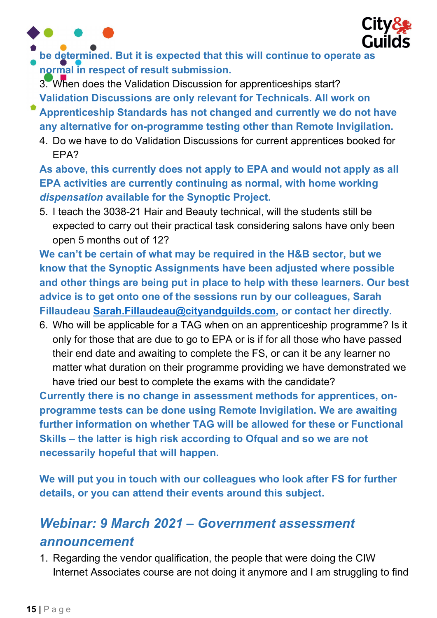



be determined. But it is expected that this will continue to operate as normal in respect of result submission.

3. When does the Validation Discussion for apprenticeships start? Validation Discussions are only relevant for Technicals. All work on

- Apprenticeship Standards has not changed and currently we do not have any alternative for on-programme testing other than Remote Invigilation.
	- 4. Do we have to do Validation Discussions for current apprentices booked for EPA?

As above, this currently does not apply to EPA and would not apply as all EPA activities are currently continuing as normal, with home working dispensation available for the Synoptic Project.

5. I teach the 3038-21 Hair and Beauty technical, will the students still be expected to carry out their practical task considering salons have only been open 5 months out of 12?

We can't be certain of what may be required in the H&B sector, but we know that the Synoptic Assignments have been adjusted where possible and other things are being put in place to help with these learners. Our best advice is to get onto one of the sessions run by our colleagues, Sarah Fillaudeau Sarah.Fillaudeau@cityandguilds.com, or contact her directly.

6. Who will be applicable for a TAG when on an apprenticeship programme? Is it only for those that are due to go to EPA or is if for all those who have passed their end date and awaiting to complete the FS, or can it be any learner no matter what duration on their programme providing we have demonstrated we have tried our best to complete the exams with the candidate?

Currently there is no change in assessment methods for apprentices, onprogramme tests can be done using Remote Invigilation. We are awaiting further information on whether TAG will be allowed for these or Functional Skills – the latter is high risk according to Ofqual and so we are not necessarily hopeful that will happen.

We will put you in touch with our colleagues who look after FS for further details, or you can attend their events around this subject.

# Webinar: 9 March 2021 – Government assessment announcement

1. Regarding the vendor qualification, the people that were doing the CIW Internet Associates course are not doing it anymore and I am struggling to find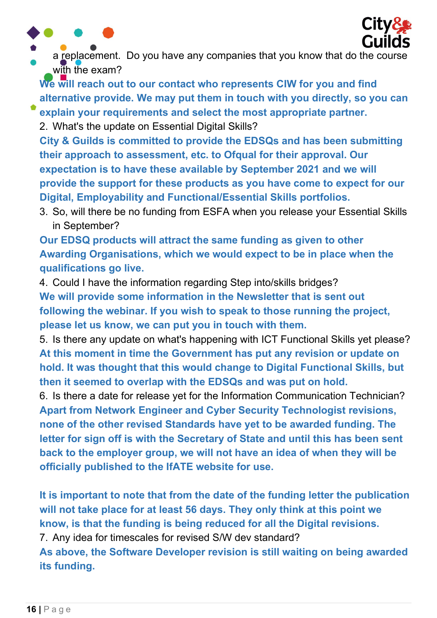



a replacement. Do you have any companies that you know that do the course with the exam?

We will reach out to our contact who represents CIW for you and find alternative provide. We may put them in touch with you directly, so you can

explain your requirements and select the most appropriate partner. 2. What's the update on Essential Digital Skills?

City & Guilds is committed to provide the EDSQs and has been submitting their approach to assessment, etc. to Ofqual for their approval. Our expectation is to have these available by September 2021 and we will provide the support for these products as you have come to expect for our Digital, Employability and Functional/Essential Skills portfolios.

3. So, will there be no funding from ESFA when you release your Essential Skills in September?

Our EDSQ products will attract the same funding as given to other Awarding Organisations, which we would expect to be in place when the qualifications go live.

4. Could I have the information regarding Step into/skills bridges? We will provide some information in the Newsletter that is sent out following the webinar. If you wish to speak to those running the project, please let us know, we can put you in touch with them.

5. Is there any update on what's happening with ICT Functional Skills yet please? At this moment in time the Government has put any revision or update on hold. It was thought that this would change to Digital Functional Skills, but then it seemed to overlap with the EDSQs and was put on hold.

6. Is there a date for release yet for the Information Communication Technician? Apart from Network Engineer and Cyber Security Technologist revisions, none of the other revised Standards have yet to be awarded funding. The letter for sign off is with the Secretary of State and until this has been sent back to the employer group, we will not have an idea of when they will be officially published to the IfATE website for use.

It is important to note that from the date of the funding letter the publication will not take place for at least 56 days. They only think at this point we know, is that the funding is being reduced for all the Digital revisions.

7. Any idea for timescales for revised S/W dev standard?

As above, the Software Developer revision is still waiting on being awarded its funding.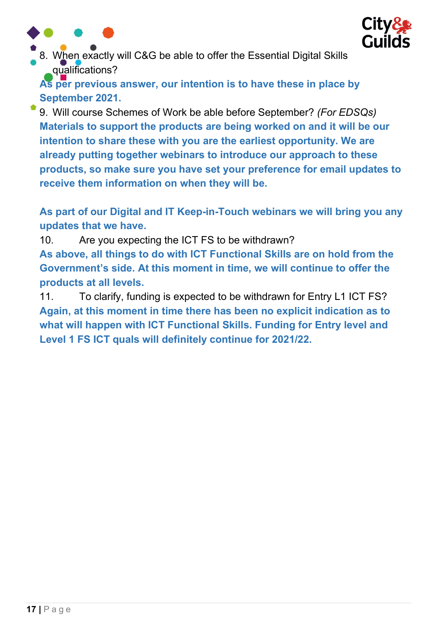



8. When exactly will C&G be able to offer the Essential Digital Skills qualifications?

As per previous answer, our intention is to have these in place by September 2021.

9. Will course Schemes of Work be able before September? (For EDSQs) Materials to support the products are being worked on and it will be our intention to share these with you are the earliest opportunity. We are already putting together webinars to introduce our approach to these products, so make sure you have set your preference for email updates to receive them information on when they will be.

As part of our Digital and IT Keep-in-Touch webinars we will bring you any updates that we have.

10. Are you expecting the ICT FS to be withdrawn? As above, all things to do with ICT Functional Skills are on hold from the Government's side. At this moment in time, we will continue to offer the products at all levels.

11. To clarify, funding is expected to be withdrawn for Entry L1 ICT FS? Again, at this moment in time there has been no explicit indication as to what will happen with ICT Functional Skills. Funding for Entry level and Level 1 FS ICT quals will definitely continue for 2021/22.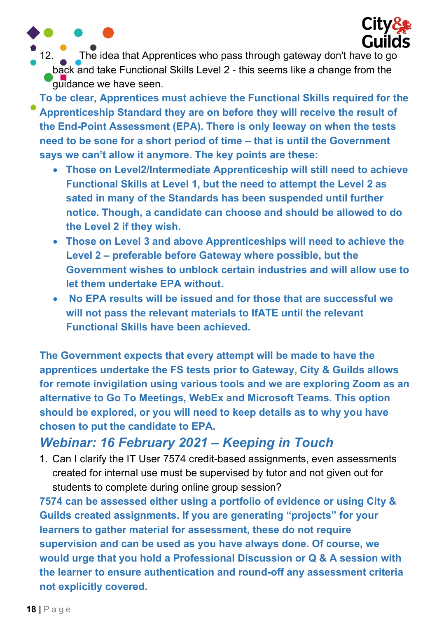

12. The idea that Apprentices who pass through gateway don't have to go back and take Functional Skills Level 2 - this seems like a change from the guidance we have seen.

To be clear, Apprentices must achieve the Functional Skills required for the Apprenticeship Standard they are on before they will receive the result of the End-Point Assessment (EPA). There is only leeway on when the tests need to be sone for a short period of time – that is until the Government says we can't allow it anymore. The key points are these:

- Those on Level2/Intermediate Apprenticeship will still need to achieve Functional Skills at Level 1, but the need to attempt the Level 2 as sated in many of the Standards has been suspended until further notice. Though, a candidate can choose and should be allowed to do the Level 2 if they wish.
- Those on Level 3 and above Apprenticeships will need to achieve the Level 2 – preferable before Gateway where possible, but the Government wishes to unblock certain industries and will allow use to let them undertake EPA without.
- No EPA results will be issued and for those that are successful we will not pass the relevant materials to IfATE until the relevant Functional Skills have been achieved.

The Government expects that every attempt will be made to have the apprentices undertake the FS tests prior to Gateway, City & Guilds allows for remote invigilation using various tools and we are exploring Zoom as an alternative to Go To Meetings, WebEx and Microsoft Teams. This option should be explored, or you will need to keep details as to why you have chosen to put the candidate to EPA.

#### Webinar: 16 February 2021 – Keeping in Touch

1. Can I clarify the IT User 7574 credit-based assignments, even assessments created for internal use must be supervised by tutor and not given out for students to complete during online group session?

7574 can be assessed either using a portfolio of evidence or using City & Guilds created assignments. If you are generating "projects" for your learners to gather material for assessment, these do not require supervision and can be used as you have always done. Of course, we would urge that you hold a Professional Discussion or Q & A session with the learner to ensure authentication and round-off any assessment criteria not explicitly covered.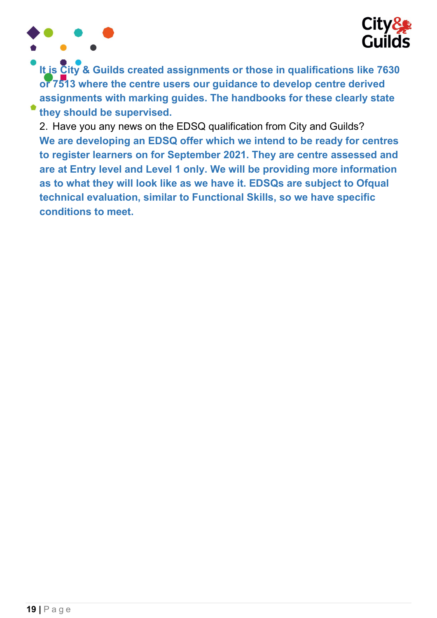

It is City & Guilds created assignments or those in qualifications like 7630 or 7513 where the centre users our guidance to develop centre derived assignments with marking guides. The handbooks for these clearly state they should be supervised.

2. Have you any news on the EDSQ qualification from City and Guilds? We are developing an EDSQ offer which we intend to be ready for centres to register learners on for September 2021. They are centre assessed and are at Entry level and Level 1 only. We will be providing more information as to what they will look like as we have it. EDSQs are subject to Ofqual technical evaluation, similar to Functional Skills, so we have specific conditions to meet.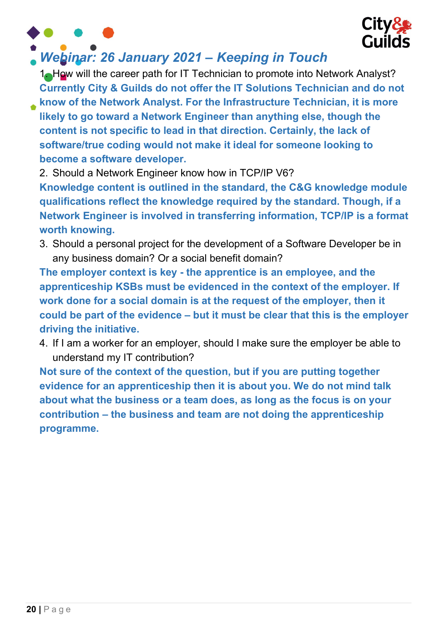



### Webinar: 26 January 2021 – Keeping in Touch

1. How will the career path for IT Technician to promote into Network Analyst? Currently City & Guilds do not offer the IT Solutions Technician and do not

know of the Network Analyst. For the Infrastructure Technician, it is more likely to go toward a Network Engineer than anything else, though the content is not specific to lead in that direction. Certainly, the lack of software/true coding would not make it ideal for someone looking to become a software developer.

2. Should a Network Engineer know how in TCP/IP V6?

Knowledge content is outlined in the standard, the C&G knowledge module qualifications reflect the knowledge required by the standard. Though, if a Network Engineer is involved in transferring information, TCP/IP is a format worth knowing.

3. Should a personal project for the development of a Software Developer be in any business domain? Or a social benefit domain?

The employer context is key - the apprentice is an employee, and the apprenticeship KSBs must be evidenced in the context of the employer. If work done for a social domain is at the request of the employer, then it could be part of the evidence – but it must be clear that this is the employer driving the initiative.

4. If I am a worker for an employer, should I make sure the employer be able to understand my IT contribution?

Not sure of the context of the question, but if you are putting together evidence for an apprenticeship then it is about you. We do not mind talk about what the business or a team does, as long as the focus is on your contribution – the business and team are not doing the apprenticeship programme.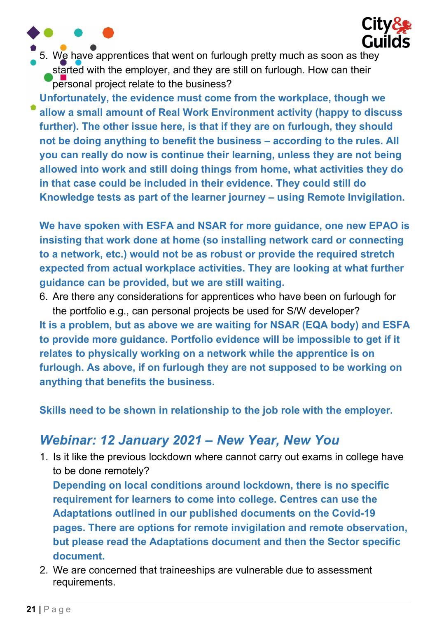5. We have apprentices that went on furlough pretty much as soon as they started with the employer, and they are still on furlough. How can their personal project relate to the business?

**City&** 

**Guilds** 

Unfortunately, the evidence must come from the workplace, though we allow a small amount of Real Work Environment activity (happy to discuss further). The other issue here, is that if they are on furlough, they should not be doing anything to benefit the business – according to the rules. All you can really do now is continue their learning, unless they are not being allowed into work and still doing things from home, what activities they do in that case could be included in their evidence. They could still do Knowledge tests as part of the learner journey – using Remote Invigilation.

We have spoken with ESFA and NSAR for more guidance, one new EPAO is insisting that work done at home (so installing network card or connecting to a network, etc.) would not be as robust or provide the required stretch expected from actual workplace activities. They are looking at what further guidance can be provided, but we are still waiting.

6. Are there any considerations for apprentices who have been on furlough for the portfolio e.g., can personal projects be used for S/W developer? It is a problem, but as above we are waiting for NSAR (EQA body) and ESFA to provide more guidance. Portfolio evidence will be impossible to get if it relates to physically working on a network while the apprentice is on furlough. As above, if on furlough they are not supposed to be working on anything that benefits the business.

Skills need to be shown in relationship to the job role with the employer.

### Webinar: 12 January 2021 – New Year, New You

1. Is it like the previous lockdown where cannot carry out exams in college have to be done remotely?

Depending on local conditions around lockdown, there is no specific requirement for learners to come into college. Centres can use the Adaptations outlined in our published documents on the Covid-19 pages. There are options for remote invigilation and remote observation, but please read the Adaptations document and then the Sector specific document.

2. We are concerned that traineeships are vulnerable due to assessment requirements.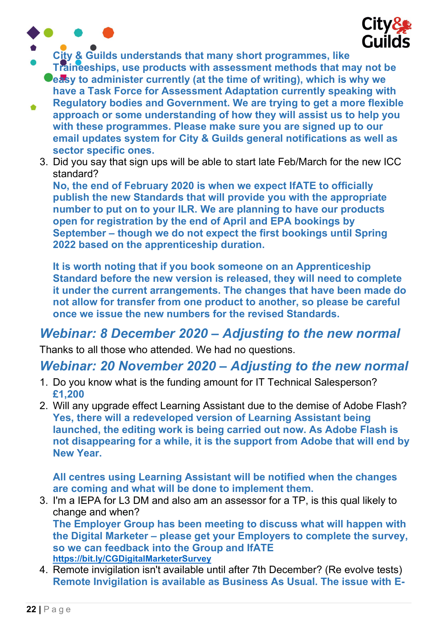



- City & Guilds understands that many short programmes, like
	- Traineeships, use products with assessment methods that may not be **Ceasy to administer currently (at the time of writing), which is why we** have a Task Force for Assessment Adaptation currently speaking with
- Regulatory bodies and Government. We are trying to get a more flexible  $\bullet$ approach or some understanding of how they will assist us to help you with these programmes. Please make sure you are signed up to our email updates system for City & Guilds general notifications as well as sector specific ones.
	- 3. Did you say that sign ups will be able to start late Feb/March for the new ICC standard?

No, the end of February 2020 is when we expect IfATE to officially publish the new Standards that will provide you with the appropriate number to put on to your ILR. We are planning to have our products open for registration by the end of April and EPA bookings by September – though we do not expect the first bookings until Spring 2022 based on the apprenticeship duration.

It is worth noting that if you book someone on an Apprenticeship Standard before the new version is released, they will need to complete it under the current arrangements. The changes that have been made do not allow for transfer from one product to another, so please be careful once we issue the new numbers for the revised Standards.

#### Webinar: 8 December 2020 – Adjusting to the new normal

Thanks to all those who attended. We had no questions.

#### Webinar: 20 November 2020 – Adjusting to the new normal

- 1. Do you know what is the funding amount for IT Technical Salesperson? £1,200
- 2. Will any upgrade effect Learning Assistant due to the demise of Adobe Flash? Yes, there will a redeveloped version of Learning Assistant being launched, the editing work is being carried out now. As Adobe Flash is not disappearing for a while, it is the support from Adobe that will end by New Year.

All centres using Learning Assistant will be notified when the changes are coming and what will be done to implement them.

3. I'm a IEPA for L3 DM and also am an assessor for a TP, is this qual likely to change and when? The Employer Group has been meeting to discuss what will happen with the Digital Marketer – please get your Employers to complete the survey, so we can feedback into the Group and IfATE

https://bit.ly/CGDigitalMarketerSurvey

4. Remote invigilation isn't available until after 7th December? (Re evolve tests) Remote Invigilation is available as Business As Usual. The issue with E-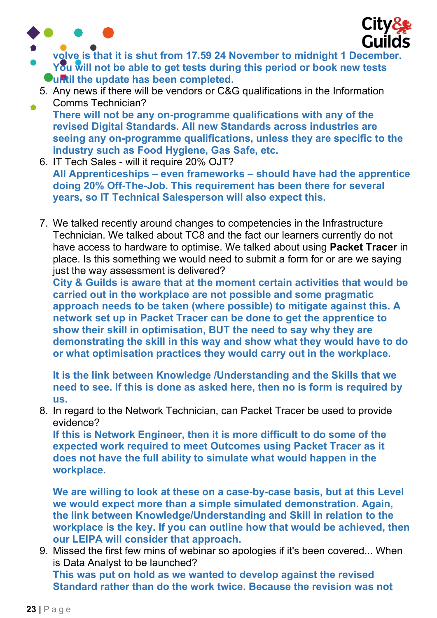

۵



- volve is that it is shut from 17.59 24 November to midnight 1 December. You will not be able to get tests during this period or book new tests Ountil the update has been completed.
	- 5. Any news if there will be vendors or C&G qualifications in the Information Comms Technician?
	- There will not be any on-programme qualifications with any of the revised Digital Standards. All new Standards across industries are seeing any on-programme qualifications, unless they are specific to the industry such as Food Hygiene, Gas Safe, etc.
	- 6. IT Tech Sales will it require 20% OJT? All Apprenticeships – even frameworks – should have had the apprentice doing 20% Off-The-Job. This requirement has been there for several years, so IT Technical Salesperson will also expect this.
	- 7. We talked recently around changes to competencies in the Infrastructure Technician. We talked about TC8 and the fact our learners currently do not have access to hardware to optimise. We talked about using Packet Tracer in place. Is this something we would need to submit a form for or are we saying just the way assessment is delivered?

City & Guilds is aware that at the moment certain activities that would be carried out in the workplace are not possible and some pragmatic approach needs to be taken (where possible) to mitigate against this. A network set up in Packet Tracer can be done to get the apprentice to show their skill in optimisation, BUT the need to say why they are demonstrating the skill in this way and show what they would have to do or what optimisation practices they would carry out in the workplace.

It is the link between Knowledge /Understanding and the Skills that we need to see. If this is done as asked here, then no is form is required by us.

8. In regard to the Network Technician, can Packet Tracer be used to provide evidence?

If this is Network Engineer, then it is more difficult to do some of the expected work required to meet Outcomes using Packet Tracer as it does not have the full ability to simulate what would happen in the workplace.

We are willing to look at these on a case-by-case basis, but at this Level we would expect more than a simple simulated demonstration. Again, the link between Knowledge/Understanding and Skill in relation to the workplace is the key. If you can outline how that would be achieved, then our LEIPA will consider that approach.

9. Missed the first few mins of webinar so apologies if it's been covered... When is Data Analyst to be launched?

This was put on hold as we wanted to develop against the revised Standard rather than do the work twice. Because the revision was not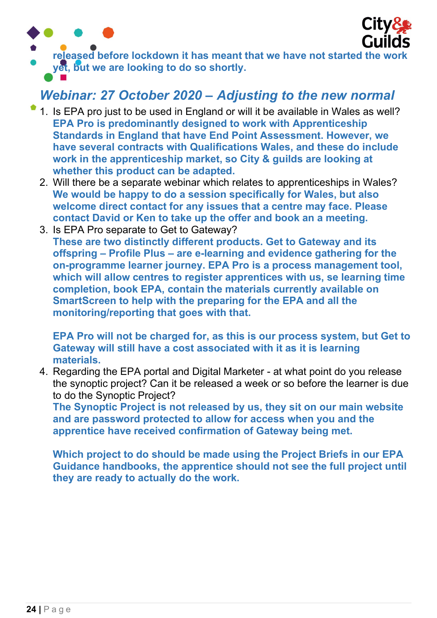



released before lockdown it has meant that we have not started the work yet, but we are looking to do so shortly.

### Webinar: 27 October 2020 – Adjusting to the new normal

- 1. Is EPA pro just to be used in England or will it be available in Wales as well? EPA Pro is predominantly designed to work with Apprenticeship Standards in England that have End Point Assessment. However, we have several contracts with Qualifications Wales, and these do include work in the apprenticeship market, so City & guilds are looking at whether this product can be adapted.
- 2. Will there be a separate webinar which relates to apprenticeships in Wales? We would be happy to do a session specifically for Wales, but also welcome direct contact for any issues that a centre may face. Please contact David or Ken to take up the offer and book an a meeting.
- 3. Is EPA Pro separate to Get to Gateway? These are two distinctly different products. Get to Gateway and its offspring – Profile Plus – are e-learning and evidence gathering for the on-programme learner journey. EPA Pro is a process management tool, which will allow centres to register apprentices with us, se learning time completion, book EPA, contain the materials currently available on SmartScreen to help with the preparing for the EPA and all the monitoring/reporting that goes with that.

EPA Pro will not be charged for, as this is our process system, but Get to Gateway will still have a cost associated with it as it is learning materials.

4. Regarding the EPA portal and Digital Marketer - at what point do you release the synoptic project? Can it be released a week or so before the learner is due to do the Synoptic Project?

The Synoptic Project is not released by us, they sit on our main website and are password protected to allow for access when you and the apprentice have received confirmation of Gateway being met.

Which project to do should be made using the Project Briefs in our EPA Guidance handbooks, the apprentice should not see the full project until they are ready to actually do the work.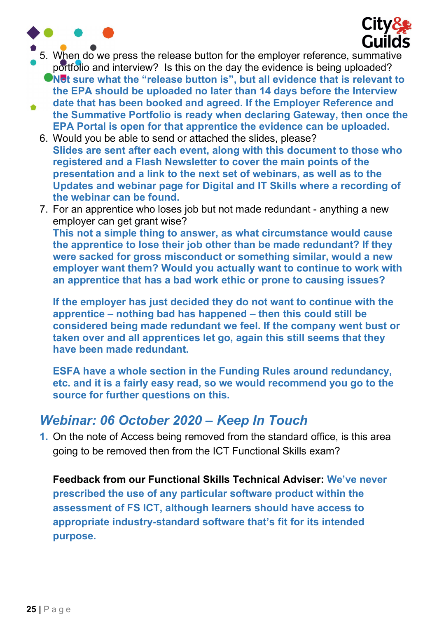



- 5. When do we press the release button for the employer reference, summative portfolio and interview? Is this on the day the evidence is being uploaded?
	- In  $\blacksquare$  what the "release button is", but all evidence that is relevant to the EPA should be uploaded no later than 14 days before the Interview
- date that has been booked and agreed. If the Employer Reference and  $\bullet$ the Summative Portfolio is ready when declaring Gateway, then once the EPA Portal is open for that apprentice the evidence can be uploaded.
	- 6. Would you be able to send or attached the slides, please? Slides are sent after each event, along with this document to those who registered and a Flash Newsletter to cover the main points of the presentation and a link to the next set of webinars, as well as to the Updates and webinar page for Digital and IT Skills where a recording of the webinar can be found.
	- 7. For an apprentice who loses job but not made redundant anything a new employer can get grant wise? This not a simple thing to answer, as what circumstance would cause the apprentice to lose their job other than be made redundant? If they were sacked for gross misconduct or something similar, would a new employer want them? Would you actually want to continue to work with an apprentice that has a bad work ethic or prone to causing issues?

If the employer has just decided they do not want to continue with the apprentice – nothing bad has happened – then this could still be considered being made redundant we feel. If the company went bust or taken over and all apprentices let go, again this still seems that they have been made redundant.

ESFA have a whole section in the Funding Rules around redundancy, etc. and it is a fairly easy read, so we would recommend you go to the source for further questions on this.

#### Webinar: 06 October 2020 – Keep In Touch

1. On the note of Access being removed from the standard office, is this area going to be removed then from the ICT Functional Skills exam?

Feedback from our Functional Skills Technical Adviser: We've never prescribed the use of any particular software product within the assessment of FS ICT, although learners should have access to appropriate industry-standard software that's fit for its intended purpose.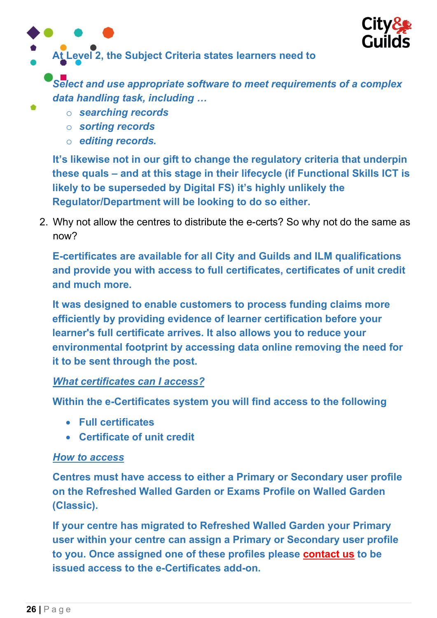

At Level 2, the Subject Criteria states learners need to

Select and use appropriate software to meet requirements of a complex data handling task, including …

- o searching records
- o sorting records
- o editing records.

It's likewise not in our gift to change the regulatory criteria that underpin these quals – and at this stage in their lifecycle (if Functional Skills ICT is likely to be superseded by Digital FS) it's highly unlikely the Regulator/Department will be looking to do so either.

2. Why not allow the centres to distribute the e-certs? So why not do the same as now?

E-certificates are available for all City and Guilds and ILM qualifications and provide you with access to full certificates, certificates of unit credit and much more.

It was designed to enable customers to process funding claims more efficiently by providing evidence of learner certification before your learner's full certificate arrives. It also allows you to reduce your environmental footprint by accessing data online removing the need for it to be sent through the post.

#### What certificates can I access?

Within the e-Certificates system you will find access to the following

- Full certificates
- Certificate of unit credit

#### How to access

Centres must have access to either a Primary or Secondary user profile on the Refreshed Walled Garden or Exams Profile on Walled Garden (Classic).

If your centre has migrated to Refreshed Walled Garden your Primary user within your centre can assign a Primary or Secondary user profile to you. Once assigned one of these profiles please contact us to be issued access to the e-Certificates add-on.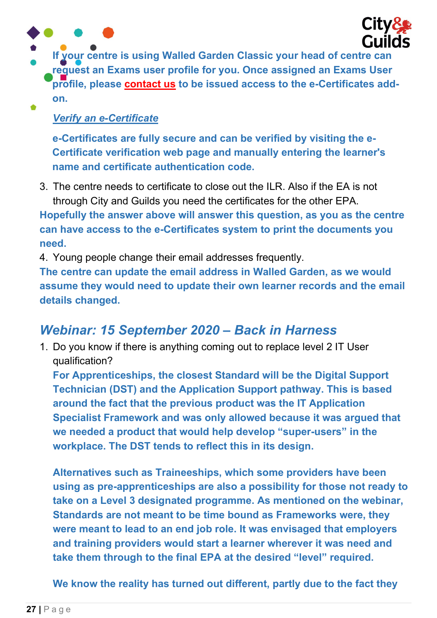

If your centre is using Walled Garden Classic your head of centre can request an Exams user profile for you. Once assigned an Exams User profile, please contact us to be issued access to the e-Certificates addon.  $\bullet$ 

#### Verify an e-Certificate

e-Certificates are fully secure and can be verified by visiting the e-Certificate verification web page and manually entering the learner's name and certificate authentication code.

3. The centre needs to certificate to close out the ILR. Also if the EA is not through City and Guilds you need the certificates for the other EPA.

Hopefully the answer above will answer this question, as you as the centre can have access to the e-Certificates system to print the documents you need.

4. Young people change their email addresses frequently.

The centre can update the email address in Walled Garden, as we would assume they would need to update their own learner records and the email details changed.

#### Webinar: 15 September 2020 – Back in Harness

1. Do you know if there is anything coming out to replace level 2 IT User qualification?

For Apprenticeships, the closest Standard will be the Digital Support Technician (DST) and the Application Support pathway. This is based around the fact that the previous product was the IT Application Specialist Framework and was only allowed because it was argued that we needed a product that would help develop "super-users" in the workplace. The DST tends to reflect this in its design.

Alternatives such as Traineeships, which some providers have been using as pre-apprenticeships are also a possibility for those not ready to take on a Level 3 designated programme. As mentioned on the webinar, Standards are not meant to be time bound as Frameworks were, they were meant to lead to an end job role. It was envisaged that employers and training providers would start a learner wherever it was need and take them through to the final EPA at the desired "level" required.

We know the reality has turned out different, partly due to the fact they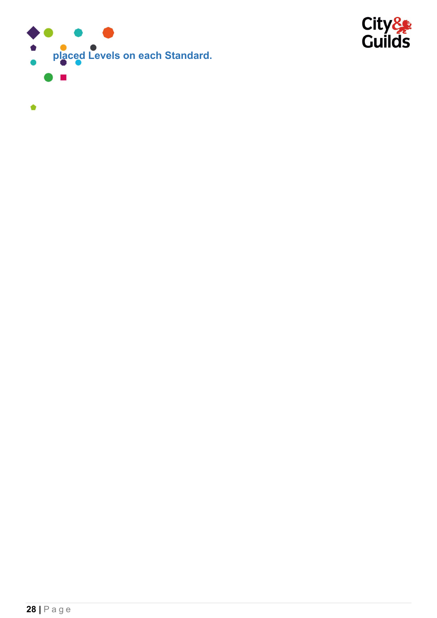

 $\bullet$ 

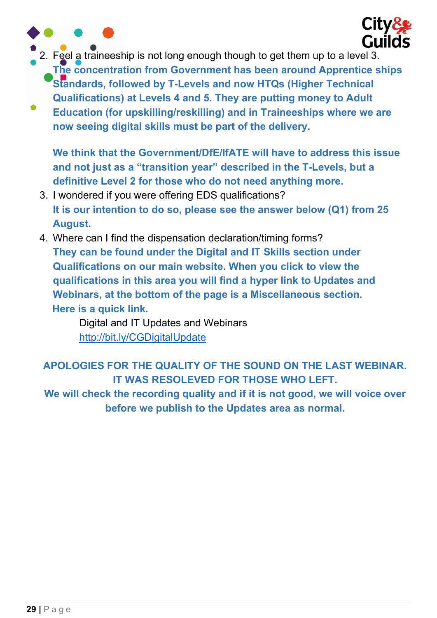

2. Feel a traineeship is not long enough though to get them up to a level 3.

The concentration from Government has been around Apprentice ships Standards, followed by T-Levels and now HTQs (Higher Technical Qualifications) at Levels 4 and 5. They are putting money to Adult

Education (for upskilling/reskilling) and in Traineeships where we are now seeing digital skills must be part of the delivery.

We think that the Government/DfE/IfATE will have to address this issue and not just as a "transition year" described in the T-Levels, but a definitive Level 2 for those who do not need anything more.

- 3. I wondered if you were offering EDS qualifications? It is our intention to do so, please see the answer below (Q1) from 25 August.
- 4. Where can I find the dispensation declaration/timing forms? They can be found under the Digital and IT Skills section under Qualifications on our main website. When you click to view the qualifications in this area you will find a hyper link to Updates and Webinars, at the bottom of the page is a Miscellaneous section. Here is a quick link.

Digital and IT Updates and Webinars http://bit.ly/CGDigitalUpdate

APOLOGIES FOR THE QUALITY OF THE SOUND ON THE LAST WEBINAR. IT WAS RESOLEVED FOR THOSE WHO LEFT.

We will check the recording quality and if it is not good, we will voice over before we publish to the Updates area as normal.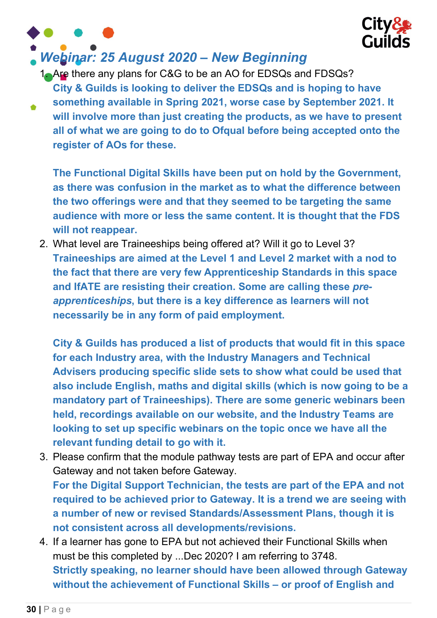

# Webinar: 25 August 2020 – New Beginning

1. Are there any plans for C&G to be an AO for EDSQs and FDSQs? City & Guilds is looking to deliver the EDSQs and is hoping to have something available in Spring 2021, worse case by September 2021. It will involve more than just creating the products, as we have to present all of what we are going to do to Ofqual before being accepted onto the register of AOs for these.

The Functional Digital Skills have been put on hold by the Government, as there was confusion in the market as to what the difference between the two offerings were and that they seemed to be targeting the same audience with more or less the same content. It is thought that the FDS will not reappear.

2. What level are Traineeships being offered at? Will it go to Level 3? Traineeships are aimed at the Level 1 and Level 2 market with a nod to the fact that there are very few Apprenticeship Standards in this space and IfATE are resisting their creation. Some are calling these preapprenticeships, but there is a key difference as learners will not necessarily be in any form of paid employment.

City & Guilds has produced a list of products that would fit in this space for each Industry area, with the Industry Managers and Technical Advisers producing specific slide sets to show what could be used that also include English, maths and digital skills (which is now going to be a mandatory part of Traineeships). There are some generic webinars been held, recordings available on our website, and the Industry Teams are looking to set up specific webinars on the topic once we have all the relevant funding detail to go with it.

3. Please confirm that the module pathway tests are part of EPA and occur after Gateway and not taken before Gateway.

For the Digital Support Technician, the tests are part of the EPA and not required to be achieved prior to Gateway. It is a trend we are seeing with a number of new or revised Standards/Assessment Plans, though it is not consistent across all developments/revisions.

4. If a learner has gone to EPA but not achieved their Functional Skills when must be this completed by ...Dec 2020? I am referring to 3748. Strictly speaking, no learner should have been allowed through Gateway without the achievement of Functional Skills – or proof of English and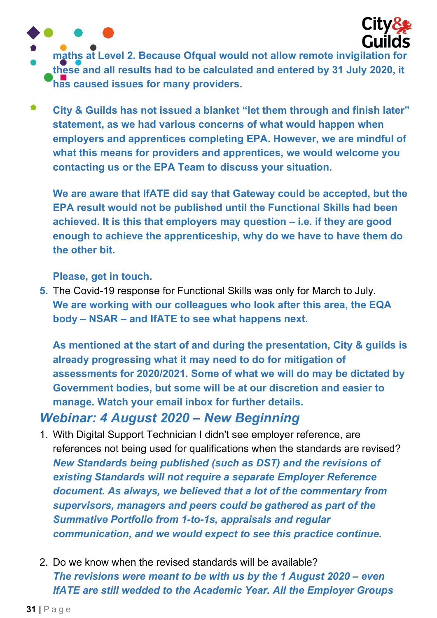

- maths at Level 2. Because Ofqual would not allow remote invigilation for these and all results had to be calculated and entered by 31 July 2020, it has caused issues for many providers.
- $\bullet$ City & Guilds has not issued a blanket "let them through and finish later" statement, as we had various concerns of what would happen when employers and apprentices completing EPA. However, we are mindful of what this means for providers and apprentices, we would welcome you contacting us or the EPA Team to discuss your situation.

We are aware that IfATE did say that Gateway could be accepted, but the EPA result would not be published until the Functional Skills had been achieved. It is this that employers may question – i.e. if they are good enough to achieve the apprenticeship, why do we have to have them do the other bit.

Please, get in touch.

5. The Covid-19 response for Functional Skills was only for March to July. We are working with our colleagues who look after this area, the EQA body – NSAR – and IfATE to see what happens next.

As mentioned at the start of and during the presentation, City & guilds is already progressing what it may need to do for mitigation of assessments for 2020/2021. Some of what we will do may be dictated by Government bodies, but some will be at our discretion and easier to manage. Watch your email inbox for further details.

#### Webinar: 4 August 2020 – New Beginning

- 1. With Digital Support Technician I didn't see employer reference, are references not being used for qualifications when the standards are revised? New Standards being published (such as DST) and the revisions of existing Standards will not require a separate Employer Reference document. As always, we believed that a lot of the commentary from supervisors, managers and peers could be gathered as part of the Summative Portfolio from 1-to-1s, appraisals and regular communication, and we would expect to see this practice continue.
- 2. Do we know when the revised standards will be available? The revisions were meant to be with us by the 1 August 2020 – even IfATE are still wedded to the Academic Year. All the Employer Groups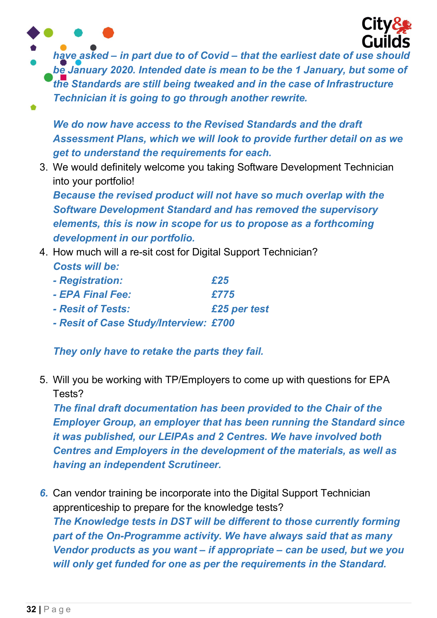

have asked – in part due to of Covid – that the earliest date of use should be January 2020. Intended date is mean to be the 1 January, but some of the Standards are still being tweaked and in the case of Infrastructure Technician it is going to go through another rewrite.

We do now have access to the Revised Standards and the draft Assessment Plans, which we will look to provide further detail on as we get to understand the requirements for each.

3. We would definitely welcome you taking Software Development Technician into your portfolio!

Because the revised product will not have so much overlap with the Software Development Standard and has removed the supervisory elements, this is now in scope for us to propose as a forthcoming development in our portfolio.

- 4. How much will a re-sit cost for Digital Support Technician? Costs will be:
	- Registration:  $£25$
	- $-$  FPA Final Fee:  $\sqrt{775}$
	- Resit of Tests: £25 per test
	- Resit of Case Study/Interview: £700

They only have to retake the parts they fail.

5. Will you be working with TP/Employers to come up with questions for EPA Tests?

The final draft documentation has been provided to the Chair of the Employer Group, an employer that has been running the Standard since it was published, our LEIPAs and 2 Centres. We have involved both Centres and Employers in the development of the materials, as well as having an independent Scrutineer.

6. Can vendor training be incorporate into the Digital Support Technician apprenticeship to prepare for the knowledge tests? The Knowledge tests in DST will be different to those currently forming part of the On-Programme activity. We have always said that as many Vendor products as you want – if appropriate – can be used, but we you will only get funded for one as per the requirements in the Standard.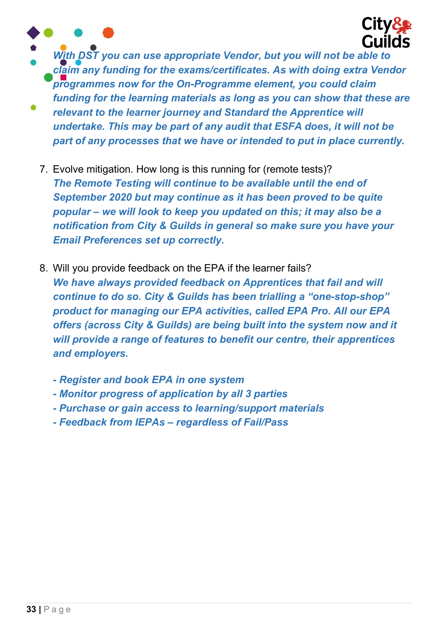



- With DST you can use appropriate Vendor, but you will not be able to claim any funding for the exams/certificates. As with doing extra Vendor programmes now for the On-Programme element, you could claim funding for the learning materials as long as you can show that these are relevant to the learner journey and Standard the Apprentice will undertake. This may be part of any audit that ESFA does, it will not be
	- part of any processes that we have or intended to put in place currently.
	- 7. Evolve mitigation. How long is this running for (remote tests)? The Remote Testing will continue to be available until the end of September 2020 but may continue as it has been proved to be quite popular – we will look to keep you updated on this; it may also be a notification from City & Guilds in general so make sure you have your Email Preferences set up correctly.
	- 8. Will you provide feedback on the EPA if the learner fails? We have always provided feedback on Apprentices that fail and will continue to do so. City & Guilds has been trialling a "one-stop-shop" product for managing our EPA activities, called EPA Pro. All our EPA offers (across City & Guilds) are being built into the system now and it will provide a range of features to benefit our centre, their apprentices and employers.
		- Register and book EPA in one system
		- Monitor progress of application by all 3 parties
		- Purchase or gain access to learning/support materials
		- Feedback from IEPAs regardless of Fail/Pass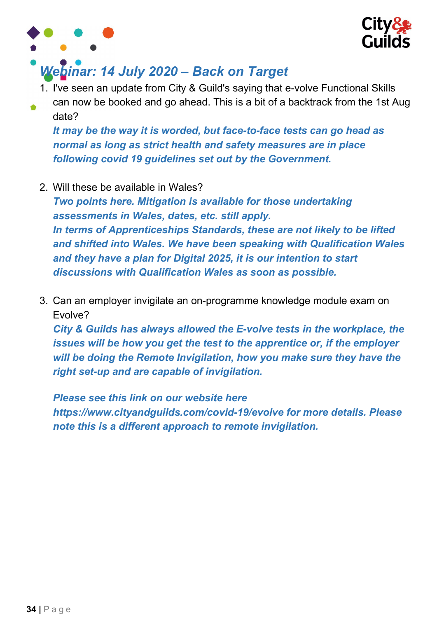



# Webinar: 14 July 2020 – Back on Target

- 1. I've seen an update from City & Guild's saying that e-volve Functional Skills
- can now be booked and go ahead. This is a bit of a backtrack from the 1st Aug date?

It may be the way it is worded, but face-to-face tests can go head as normal as long as strict health and safety measures are in place following covid 19 guidelines set out by the Government.

2. Will these be available in Wales?

Two points here. Mitigation is available for those undertaking assessments in Wales, dates, etc. still apply. In terms of Apprenticeships Standards, these are not likely to be lifted and shifted into Wales. We have been speaking with Qualification Wales and they have a plan for Digital 2025, it is our intention to start discussions with Qualification Wales as soon as possible.

3. Can an employer invigilate an on-programme knowledge module exam on Evolve?

City & Guilds has always allowed the E-volve tests in the workplace, the issues will be how you get the test to the apprentice or, if the employer will be doing the Remote Invigilation, how you make sure they have the right set-up and are capable of invigilation.

Please see this link on our website here https://www.cityandguilds.com/covid-19/evolve for more details. Please note this is a different approach to remote invigilation.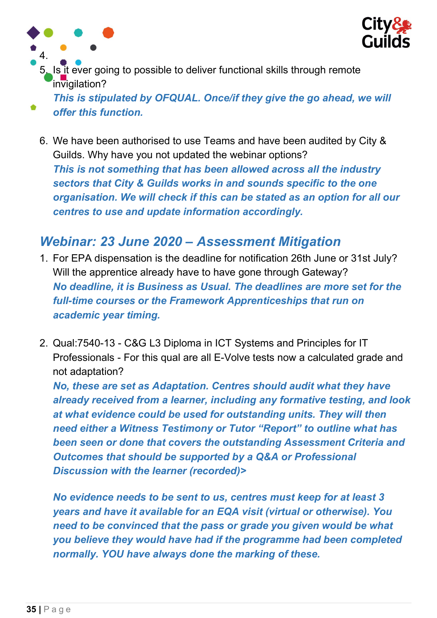

5. Is it ever going to possible to deliver functional skills through remote invigilation?

This is stipulated by OFQUAL. Once/if they give the go ahead, we will offer this function.

6. We have been authorised to use Teams and have been audited by City & Guilds. Why have you not updated the webinar options? This is not something that has been allowed across all the industry sectors that City & Guilds works in and sounds specific to the one organisation. We will check if this can be stated as an option for all our centres to use and update information accordingly.

#### Webinar: 23 June 2020 – Assessment Mitigation

- 1. For EPA dispensation is the deadline for notification 26th June or 31st July? Will the apprentice already have to have gone through Gateway? No deadline, it is Business as Usual. The deadlines are more set for the full-time courses or the Framework Apprenticeships that run on academic year timing.
- 2. Qual:7540-13 C&G L3 Diploma in ICT Systems and Principles for IT Professionals - For this qual are all E-Volve tests now a calculated grade and not adaptation?

No, these are set as Adaptation. Centres should audit what they have already received from a learner, including any formative testing, and look at what evidence could be used for outstanding units. They will then need either a Witness Testimony or Tutor "Report" to outline what has been seen or done that covers the outstanding Assessment Criteria and Outcomes that should be supported by a Q&A or Professional Discussion with the learner (recorded)>

No evidence needs to be sent to us, centres must keep for at least 3 years and have it available for an EQA visit (virtual or otherwise). You need to be convinced that the pass or grade you given would be what you believe they would have had if the programme had been completed normally. YOU have always done the marking of these.

4.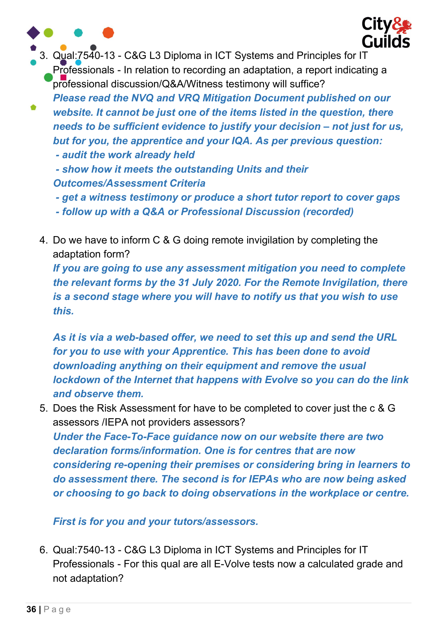

- get a witness testimony or produce a short tutor report to cover gaps

- follow up with a Q&A or Professional Discussion (recorded)
- 4. Do we have to inform C & G doing remote invigilation by completing the adaptation form?

If you are going to use any assessment mitigation you need to complete the relevant forms by the 31 July 2020. For the Remote Invigilation, there is a second stage where you will have to notify us that you wish to use this.

As it is via a web-based offer, we need to set this up and send the URL for you to use with your Apprentice. This has been done to avoid downloading anything on their equipment and remove the usual lockdown of the Internet that happens with Evolve so you can do the link and observe them.

5. Does the Risk Assessment for have to be completed to cover just the c & G assessors /IEPA not providers assessors?

Under the Face-To-Face guidance now on our website there are two declaration forms/information. One is for centres that are now considering re-opening their premises or considering bring in learners to do assessment there. The second is for IEPAs who are now being asked or choosing to go back to doing observations in the workplace or centre.

#### First is for you and your tutors/assessors.

6. Qual:7540-13 - C&G L3 Diploma in ICT Systems and Principles for IT Professionals - For this qual are all E-Volve tests now a calculated grade and not adaptation?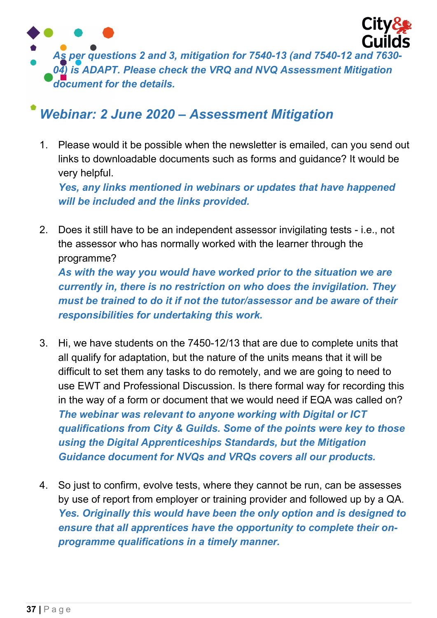

### Webinar: 2 June 2020 – Assessment Mitigation

1. Please would it be possible when the newsletter is emailed, can you send out links to downloadable documents such as forms and guidance? It would be very helpful.

Yes, any links mentioned in webinars or updates that have happened will be included and the links provided.

- 2. Does it still have to be an independent assessor invigilating tests i.e., not the assessor who has normally worked with the learner through the programme? As with the way you would have worked prior to the situation we are currently in, there is no restriction on who does the invigilation. They must be trained to do it if not the tutor/assessor and be aware of their responsibilities for undertaking this work.
- 3. Hi, we have students on the 7450-12/13 that are due to complete units that all qualify for adaptation, but the nature of the units means that it will be difficult to set them any tasks to do remotely, and we are going to need to use EWT and Professional Discussion. Is there formal way for recording this in the way of a form or document that we would need if EQA was called on? The webinar was relevant to anyone working with Digital or ICT qualifications from City & Guilds. Some of the points were key to those using the Digital Apprenticeships Standards, but the Mitigation Guidance document for NVQs and VRQs covers all our products.
- 4. So just to confirm, evolve tests, where they cannot be run, can be assesses by use of report from employer or training provider and followed up by a QA. Yes. Originally this would have been the only option and is designed to ensure that all apprentices have the opportunity to complete their onprogramme qualifications in a timely manner.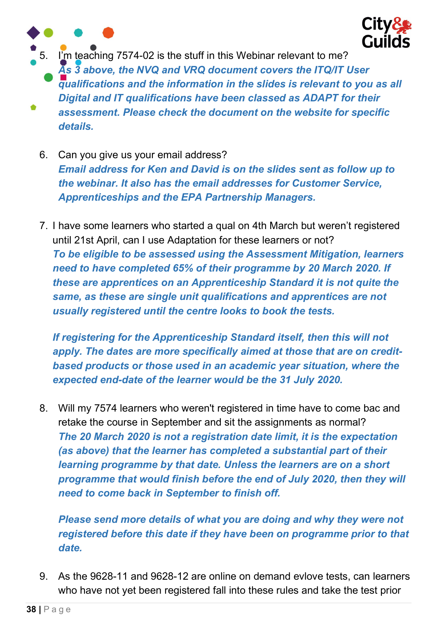

5. I'm teaching 7574-02 is the stuff in this Webinar relevant to me? As 3 above, the NVQ and VRQ document covers the ITQ/IT User qualifications and the information in the slides is relevant to you as all Digital and IT qualifications have been classed as ADAPT for their assessment. Please check the document on the website for specific details.

- 6. Can you give us your email address? Email address for Ken and David is on the slides sent as follow up to the webinar. It also has the email addresses for Customer Service, Apprenticeships and the EPA Partnership Managers.
- 7. I have some learners who started a qual on 4th March but weren't registered until 21st April, can I use Adaptation for these learners or not? To be eligible to be assessed using the Assessment Mitigation, learners need to have completed 65% of their programme by 20 March 2020. If these are apprentices on an Apprenticeship Standard it is not quite the same, as these are single unit qualifications and apprentices are not usually registered until the centre looks to book the tests.

If registering for the Apprenticeship Standard itself, then this will not apply. The dates are more specifically aimed at those that are on creditbased products or those used in an academic year situation, where the expected end-date of the learner would be the 31 July 2020.

8. Will my 7574 learners who weren't registered in time have to come bac and retake the course in September and sit the assignments as normal? The 20 March 2020 is not a registration date limit, it is the expectation (as above) that the learner has completed a substantial part of their learning programme by that date. Unless the learners are on a short programme that would finish before the end of July 2020, then they will need to come back in September to finish off.

Please send more details of what you are doing and why they were not registered before this date if they have been on programme prior to that date.

9. As the 9628-11 and 9628-12 are online on demand evlove tests, can learners who have not yet been registered fall into these rules and take the test prior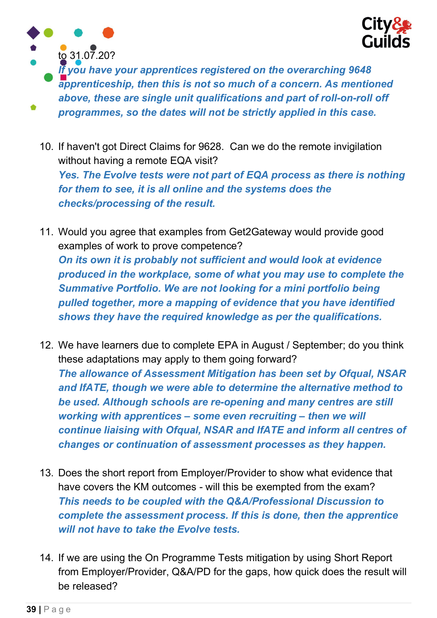



If you have your apprentices registered on the overarching 9648 apprenticeship, then this is not so much of a concern. As mentioned above, these are single unit qualifications and part of roll-on-roll off programmes, so the dates will not be strictly applied in this case.

- 10. If haven't got Direct Claims for 9628. Can we do the remote invigilation without having a remote EQA visit? Yes. The Evolve tests were not part of EQA process as there is nothing for them to see, it is all online and the systems does the checks/processing of the result.
- 11. Would you agree that examples from Get2Gateway would provide good examples of work to prove competence? On its own it is probably not sufficient and would look at evidence produced in the workplace, some of what you may use to complete the Summative Portfolio. We are not looking for a mini portfolio being pulled together, more a mapping of evidence that you have identified shows they have the required knowledge as per the qualifications.
- 12. We have learners due to complete EPA in August / September; do you think these adaptations may apply to them going forward? The allowance of Assessment Mitigation has been set by Ofqual, NSAR and IfATE, though we were able to determine the alternative method to be used. Although schools are re-opening and many centres are still working with apprentices – some even recruiting – then we will continue liaising with Ofqual, NSAR and IfATE and inform all centres of changes or continuation of assessment processes as they happen.
- 13. Does the short report from Employer/Provider to show what evidence that have covers the KM outcomes - will this be exempted from the exam? This needs to be coupled with the Q&A/Professional Discussion to complete the assessment process. If this is done, then the apprentice will not have to take the Evolve tests.
- 14. If we are using the On Programme Tests mitigation by using Short Report from Employer/Provider, Q&A/PD for the gaps, how quick does the result will be released?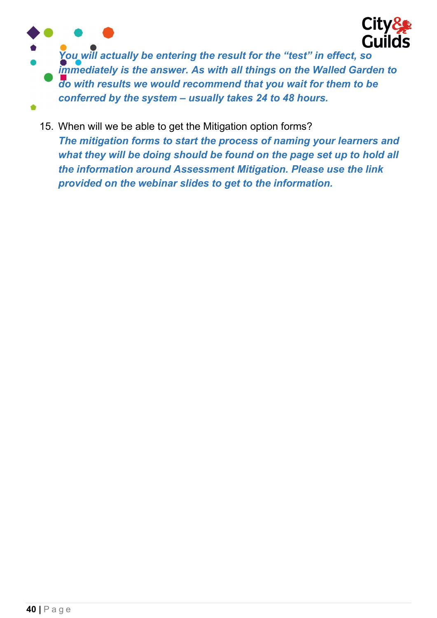

You will actually be entering the result for the "test" in effect, so immediately is the answer. As with all things on the Walled Garden to do with results we would recommend that you wait for them to be conferred by the system – usually takes 24 to 48 hours.

15. When will we be able to get the Mitigation option forms? The mitigation forms to start the process of naming your learners and what they will be doing should be found on the page set up to hold all the information around Assessment Mitigation. Please use the link provided on the webinar slides to get to the information.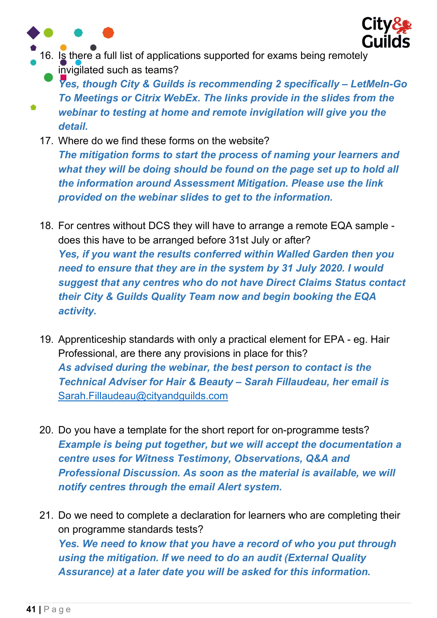



- 16. Is there a full list of applications supported for exams being remotely invigilated such as teams?
	- Yes, though City & Guilds is recommending 2 specifically LetMeln-Go To Meetings or Citrix WebEx. The links provide in the slides from the webinar to testing at home and remote invigilation will give you the detail.
	- 17. Where do we find these forms on the website? The mitigation forms to start the process of naming your learners and what they will be doing should be found on the page set up to hold all the information around Assessment Mitigation. Please use the link provided on the webinar slides to get to the information.
	- 18. For centres without DCS they will have to arrange a remote EQA sample does this have to be arranged before 31st July or after? Yes, if you want the results conferred within Walled Garden then you need to ensure that they are in the system by 31 July 2020. I would suggest that any centres who do not have Direct Claims Status contact their City & Guilds Quality Team now and begin booking the EQA activity.
	- 19. Apprenticeship standards with only a practical element for EPA eg. Hair Professional, are there any provisions in place for this? As advised during the webinar, the best person to contact is the Technical Adviser for Hair & Beauty – Sarah Fillaudeau, her email is Sarah.Fillaudeau@cityandguilds.com
	- 20. Do you have a template for the short report for on-programme tests? Example is being put together, but we will accept the documentation a centre uses for Witness Testimony, Observations, Q&A and Professional Discussion. As soon as the material is available, we will notify centres through the email Alert system.
	- 21. Do we need to complete a declaration for learners who are completing their on programme standards tests? Yes. We need to know that you have a record of who you put through using the mitigation. If we need to do an audit (External Quality Assurance) at a later date you will be asked for this information.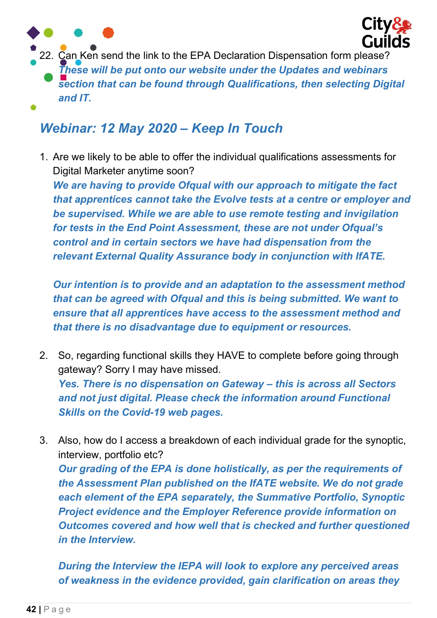

22. Can Ken send the link to the EPA Declaration Dispensation form please? These will be put onto our website under the Updates and webinars section that can be found through Qualifications, then selecting Digital and IT.

### Webinar: 12 May 2020 – Keep In Touch

1. Are we likely to be able to offer the individual qualifications assessments for Digital Marketer anytime soon?

We are having to provide Ofqual with our approach to mitigate the fact that apprentices cannot take the Evolve tests at a centre or employer and be supervised. While we are able to use remote testing and invigilation for tests in the End Point Assessment, these are not under Ofqual's control and in certain sectors we have had dispensation from the relevant External Quality Assurance body in conjunction with IfATE.

Our intention is to provide and an adaptation to the assessment method that can be agreed with Ofqual and this is being submitted. We want to ensure that all apprentices have access to the assessment method and that there is no disadvantage due to equipment or resources.

- 2. So, regarding functional skills they HAVE to complete before going through gateway? Sorry I may have missed. Yes. There is no dispensation on Gateway – this is across all Sectors and not just digital. Please check the information around Functional Skills on the Covid-19 web pages.
- 3. Also, how do I access a breakdown of each individual grade for the synoptic, interview, portfolio etc? Our grading of the EPA is done holistically, as per the requirements of the Assessment Plan published on the IfATE website. We do not grade each element of the EPA separately, the Summative Portfolio, Synoptic Project evidence and the Employer Reference provide information on Outcomes covered and how well that is checked and further questioned in the Interview.

During the Interview the IEPA will look to explore any perceived areas of weakness in the evidence provided, gain clarification on areas they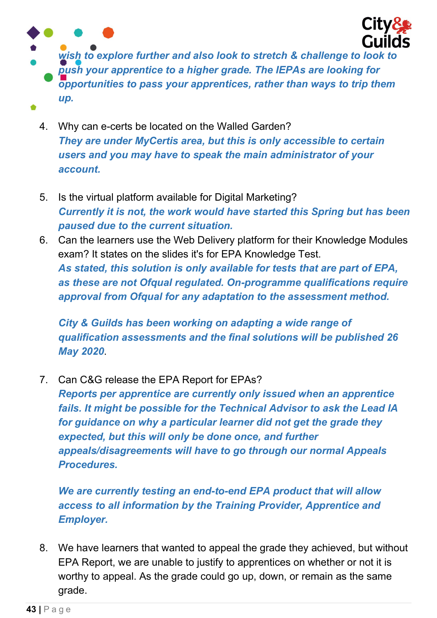

wish to explore further and also look to stretch & challenge to look to push your apprentice to a higher grade. The IEPAs are looking for opportunities to pass your apprentices, rather than ways to trip them up.

- 4. Why can e-certs be located on the Walled Garden? They are under MyCertis area, but this is only accessible to certain users and you may have to speak the main administrator of your account.
- 5. Is the virtual platform available for Digital Marketing? Currently it is not, the work would have started this Spring but has been paused due to the current situation.
- 6. Can the learners use the Web Delivery platform for their Knowledge Modules exam? It states on the slides it's for EPA Knowledge Test. As stated, this solution is only available for tests that are part of EPA, as these are not Ofqual regulated. On-programme qualifications require approval from Ofqual for any adaptation to the assessment method.

City & Guilds has been working on adapting a wide range of qualification assessments and the final solutions will be published 26 May 2020.

7. Can C&G release the EPA Report for EPAs?

Reports per apprentice are currently only issued when an apprentice fails. It might be possible for the Technical Advisor to ask the Lead IA for guidance on why a particular learner did not get the grade they expected, but this will only be done once, and further appeals/disagreements will have to go through our normal Appeals Procedures.

We are currently testing an end-to-end EPA product that will allow access to all information by the Training Provider, Apprentice and Employer.

8. We have learners that wanted to appeal the grade they achieved, but without EPA Report, we are unable to justify to apprentices on whether or not it is worthy to appeal. As the grade could go up, down, or remain as the same grade.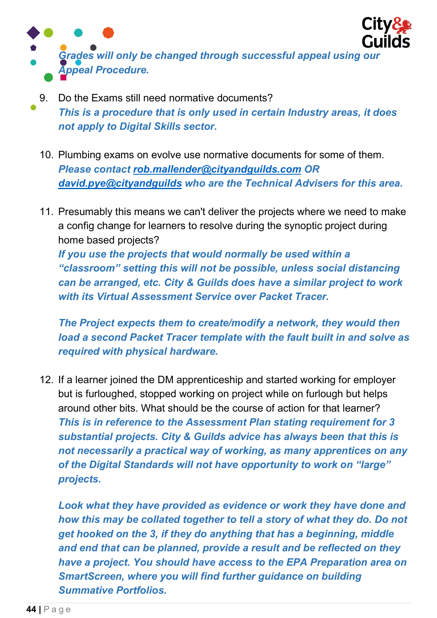

- 9. Do the Exams still need normative documents? This is a procedure that is only used in certain Industry areas, it does not apply to Digital Skills sector.
	- 10. Plumbing exams on evolve use normative documents for some of them. Please contact rob.mallender@cityandguilds.com OR david.pye@cityandguilds who are the Technical Advisers for this area.
	- 11. Presumably this means we can't deliver the projects where we need to make a config change for learners to resolve during the synoptic project during home based projects? If you use the projects that would normally be used within a "classroom" setting this will not be possible, unless social distancing can be arranged, etc. City & Guilds does have a similar project to work with its Virtual Assessment Service over Packet Tracer.

The Project expects them to create/modify a network, they would then load a second Packet Tracer template with the fault built in and solve as required with physical hardware.

12. If a learner joined the DM apprenticeship and started working for employer but is furloughed, stopped working on project while on furlough but helps around other bits. What should be the course of action for that learner? This is in reference to the Assessment Plan stating requirement for 3 substantial projects. City & Guilds advice has always been that this is not necessarily a practical way of working, as many apprentices on any of the Digital Standards will not have opportunity to work on "large" projects.

Look what they have provided as evidence or work they have done and how this may be collated together to tell a story of what they do. Do not get hooked on the 3, if they do anything that has a beginning, middle and end that can be planned, provide a result and be reflected on they have a project. You should have access to the EPA Preparation area on SmartScreen, where you will find further guidance on building Summative Portfolios.